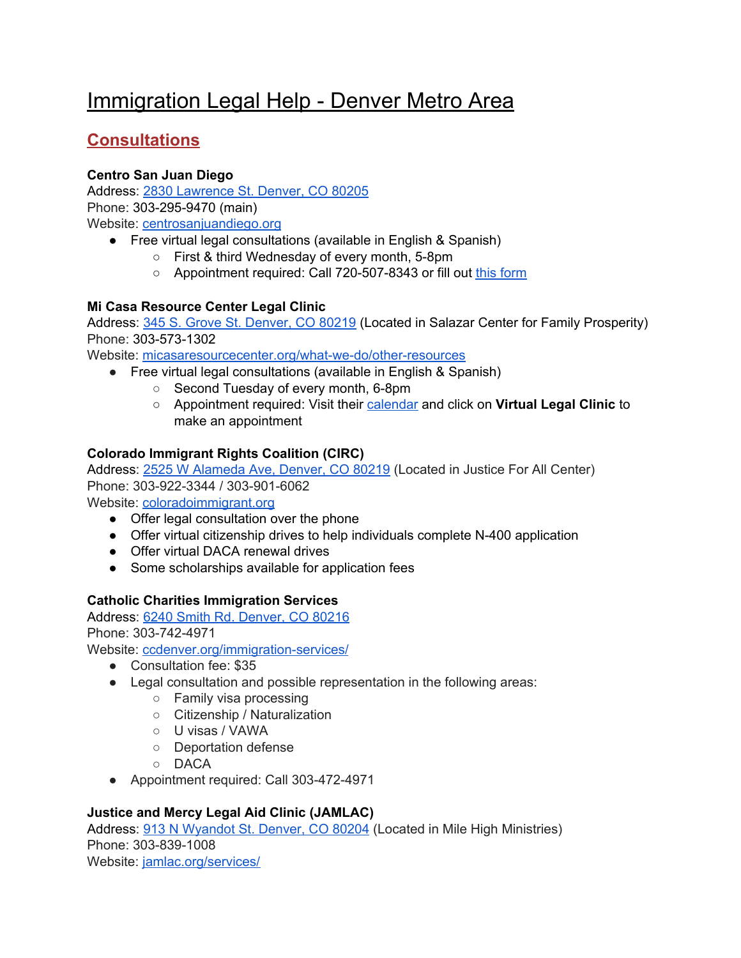# Immigration Legal Help - Denver Metro Area

# **Consultations**

### **Centro San Juan Diego**

Address: 2830 [Lawrence](https://www.google.com/maps/place/Centro+San+Juan+Diego/@39.7599607,-104.9833156,17z/data=!3m1!4b1!4m5!3m4!1s0x876c791f69ad81ed:0x4654e314f2720e24!8m2!3d39.7599607!4d-104.9811269) St. Denver, CO 80205 Phone: 303-295-9470 (main) Website: [centrosanjuandiego.org](https://centrosanjuandiego.org/en/legal-night/)

- Free virtual legal consultations (available in English & Spanish)
	- First & third Wednesday of every month, 5-8pm
	- Appointment required: Call 720-507-8343 or fill out this [form](https://centrosanjuandiego.org/noche-legal-inscripcion/)

#### **Mi Casa Resource Center Legal Clinic**

Address: 345 S. Grove St. [Denver,](https://www.google.com/maps/place/Mi+Casa+Resource+Center/@39.7105274,-105.0287902,17z/data=!3m1!4b1!4m5!3m4!1s0x876c7f2126345947:0xf219e0a9827cf9ec!8m2!3d39.7105274!4d-105.0266015) CO 80219 (Located in Salazar Center for Family Prosperity) Phone: 303-573-1302

Website: [micasaresourcecenter.org/what-we-do/other-resources](https://micasaresourcecenter.org/what-we-do/other-resources/)

- Free virtual legal consultations (available in English & Spanish)
	- Second Tuesday of every month, 6-8pm
	- Appointment required: Visit their [calendar](https://micasaresourcecenter.org/calendar/) and click on **Virtual Legal Clinic** to make an appointment

#### **Colorado Immigrant Rights Coalition (CIRC)**

Address: 2525 W [Alameda](https://www.google.com/maps/place/Colorado+Immigrant+Rights+Coalition/@39.7114941,-105.0196789,17z/data=!3m1!4b1!4m5!3m4!1s0x876c7f69aa010bc9:0xcf6044205be17794!8m2!3d39.7114941!4d-105.0174902) Ave, Denver, CO 80219 (Located in Justice For All Center) Phone: 303-922-3344 / 303-901-6062

Website: [coloradoimmigrant.org](http://coloradoimmigrant.org/)

- Offer legal consultation over the phone
- Offer virtual citizenship drives to help individuals complete N-400 application
- Offer virtual DACA renewal drives
- Some scholarships available for application fees

#### **Catholic Charities Immigration Services**

Address: 6240 Smith Rd. [Denver,](https://www.google.com/maps/place/Catholic+Charities+of+Denver/@39.7729507,-104.9173794,17z/data=!3m1!4b1!4m5!3m4!1s0x876c78f4e93d3a03:0x8b75526811291c2a!8m2!3d39.7729466!4d-104.9151854) CO 80216 Phone: 303-742-4971

Website: [ccdenver.org/immigration-services/](https://ccdenver.org/immigration-services/)

- Consultation fee: \$35
- Legal consultation and possible representation in the following areas:
	- Family visa processing
	- Citizenship / Naturalization
	- U visas / VAWA
	- Deportation defense
	- DACA
- Appointment required: Call 303-472-4971

## **Justice and Mercy Legal Aid Clinic (JAMLAC)**

Address: 913 N [Wyandot](https://www.google.com/maps/place/Mile+High+Ministries/@39.7309999,-105.0165632,17z/data=!3m1!4b1!4m5!3m4!1s0x876c784b34f7626f:0x6e8135c1b9517cc9!8m2!3d39.7309958!4d-105.0143692) St. Denver, CO 80204 (Located in Mile High Ministries) Phone: 303-839-1008 Website: [jamlac.org/services/](https://jamlac.org/services/)